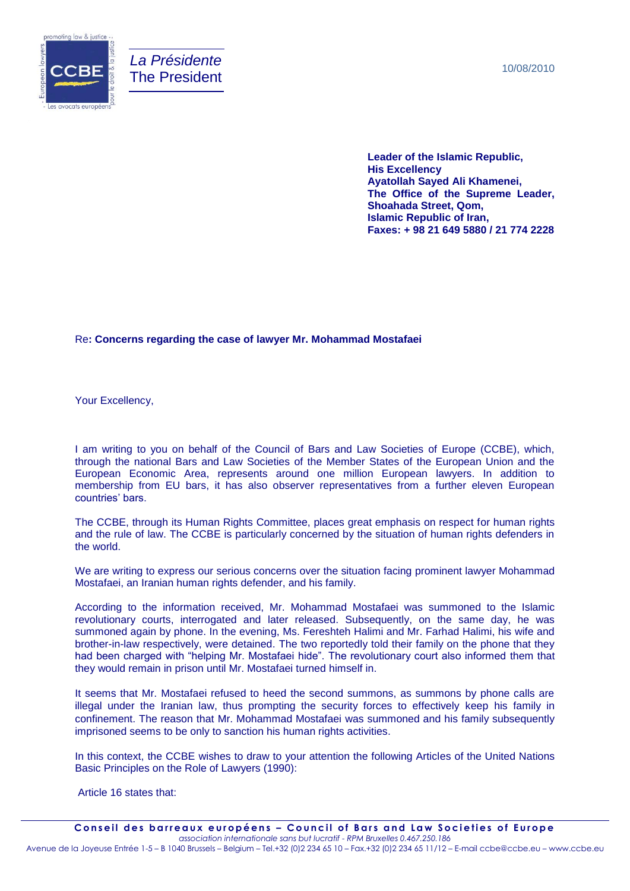

10/08/2010

**Leader of the Islamic Republic, His Excellency Ayatollah Sayed Ali Khamenei, The Office of the Supreme Leader, Shoahada Street, Qom, Islamic Republic of Iran, Faxes: + 98 21 649 5880 / 21 774 2228**

## Re**: Concerns regarding the case of lawyer Mr. Mohammad Mostafaei**

Your Excellency,

I am writing to you on behalf of the Council of Bars and Law Societies of Europe (CCBE), which, through the national Bars and Law Societies of the Member States of the European Union and the European Economic Area, represents around one million European lawyers. In addition to membership from EU bars, it has also observer representatives from a further eleven European countries' bars.

The CCBE, through its Human Rights Committee, places great emphasis on respect for human rights and the rule of law. The CCBE is particularly concerned by the situation of human rights defenders in the world.

We are writing to express our serious concerns over the situation facing prominent lawyer Mohammad Mostafaei, an Iranian human rights defender, and his family.

According to the information received, Mr. Mohammad Mostafaei was summoned to the Islamic revolutionary courts, interrogated and later released. Subsequently, on the same day, he was summoned again by phone. In the evening, Ms. Fereshteh Halimi and Mr. Farhad Halimi, his wife and brother-in-law respectively, were detained. The two reportedly told their family on the phone that they had been charged with "helping Mr. Mostafaei hide". The revolutionary court also informed them that they would remain in prison until Mr. Mostafaei turned himself in.

It seems that Mr. Mostafaei refused to heed the second summons, as summons by phone calls are illegal under the Iranian law, thus prompting the security forces to effectively keep his family in confinement. The reason that Mr. Mohammad Mostafaei was summoned and his family subsequently imprisoned seems to be only to sanction his human rights activities.

In this context, the CCBE wishes to draw to your attention the following Articles of the United Nations Basic Principles on the Role of Lawyers (1990):

Article 16 states that: